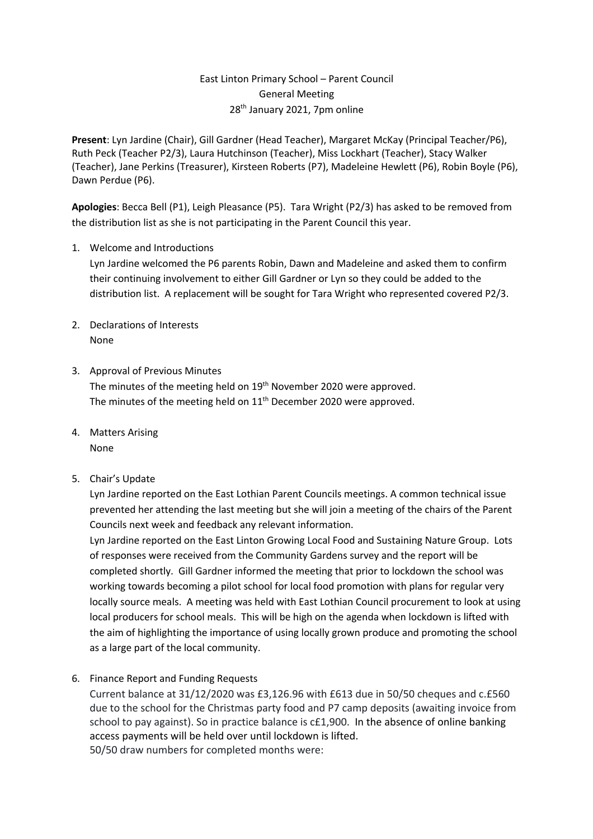# East Linton Primary School – Parent Council General Meeting 28th January 2021, 7pm online

**Present**: Lyn Jardine (Chair), Gill Gardner (Head Teacher), Margaret McKay (Principal Teacher/P6), Ruth Peck (Teacher P2/3), Laura Hutchinson (Teacher), Miss Lockhart (Teacher), Stacy Walker (Teacher), Jane Perkins (Treasurer), Kirsteen Roberts (P7), Madeleine Hewlett (P6), Robin Boyle (P6), Dawn Perdue (P6).

**Apologies**: Becca Bell (P1), Leigh Pleasance (P5). Tara Wright (P2/3) has asked to be removed from the distribution list as she is not participating in the Parent Council this year.

1. Welcome and Introductions

Lyn Jardine welcomed the P6 parents Robin, Dawn and Madeleine and asked them to confirm their continuing involvement to either Gill Gardner or Lyn so they could be added to the distribution list. A replacement will be sought for Tara Wright who represented covered P2/3.

- 2. Declarations of Interests None
- 3. Approval of Previous Minutes The minutes of the meeting held on 19<sup>th</sup> November 2020 were approved. The minutes of the meeting held on 11<sup>th</sup> December 2020 were approved.
- 4. Matters Arising None
- 5. Chair's Update

Lyn Jardine reported on the East Lothian Parent Councils meetings. A common technical issue prevented her attending the last meeting but she will join a meeting of the chairs of the Parent Councils next week and feedback any relevant information.

Lyn Jardine reported on the East Linton Growing Local Food and Sustaining Nature Group. Lots of responses were received from the Community Gardens survey and the report will be completed shortly. Gill Gardner informed the meeting that prior to lockdown the school was working towards becoming a pilot school for local food promotion with plans for regular very locally source meals. A meeting was held with East Lothian Council procurement to look at using local producers for school meals. This will be high on the agenda when lockdown is lifted with the aim of highlighting the importance of using locally grown produce and promoting the school as a large part of the local community.

6. Finance Report and Funding Requests

Current balance at 31/12/2020 was £3,126.96 with £613 due in 50/50 cheques and c.£560 due to the school for the Christmas party food and P7 camp deposits (awaiting invoice from school to pay against). So in practice balance is c£1,900. In the absence of online banking access payments will be held over until lockdown is lifted. 50/50 draw numbers for completed months were: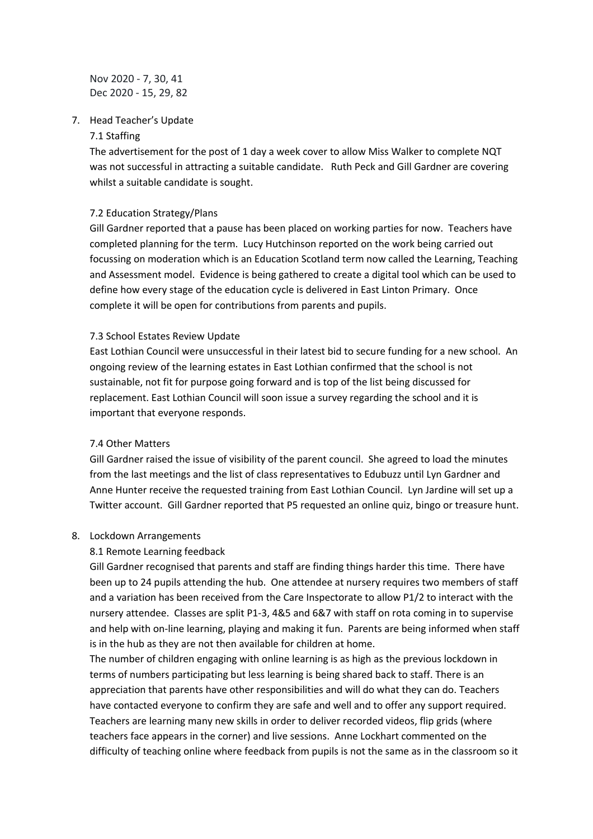Nov 2020 - 7, 30, 41 Dec 2020 - 15, 29, 82

### 7. Head Teacher's Update

### 7.1 Staffing

The advertisement for the post of 1 day a week cover to allow Miss Walker to complete NQT was not successful in attracting a suitable candidate. Ruth Peck and Gill Gardner are covering whilst a suitable candidate is sought.

## 7.2 Education Strategy/Plans

Gill Gardner reported that a pause has been placed on working parties for now. Teachers have completed planning for the term. Lucy Hutchinson reported on the work being carried out focussing on moderation which is an Education Scotland term now called the Learning, Teaching and Assessment model. Evidence is being gathered to create a digital tool which can be used to define how every stage of the education cycle is delivered in East Linton Primary. Once complete it will be open for contributions from parents and pupils.

## 7.3 School Estates Review Update

East Lothian Council were unsuccessful in their latest bid to secure funding for a new school. An ongoing review of the learning estates in East Lothian confirmed that the school is not sustainable, not fit for purpose going forward and is top of the list being discussed for replacement. East Lothian Council will soon issue a survey regarding the school and it is important that everyone responds.

### 7.4 Other Matters

Gill Gardner raised the issue of visibility of the parent council. She agreed to load the minutes from the last meetings and the list of class representatives to Edubuzz until Lyn Gardner and Anne Hunter receive the requested training from East Lothian Council. Lyn Jardine will set up a Twitter account. Gill Gardner reported that P5 requested an online quiz, bingo or treasure hunt.

### 8. Lockdown Arrangements

## 8.1 Remote Learning feedback

Gill Gardner recognised that parents and staff are finding things harder this time. There have been up to 24 pupils attending the hub. One attendee at nursery requires two members of staff and a variation has been received from the Care Inspectorate to allow P1/2 to interact with the nursery attendee. Classes are split P1-3, 4&5 and 6&7 with staff on rota coming in to supervise and help with on-line learning, playing and making it fun. Parents are being informed when staff is in the hub as they are not then available for children at home.

The number of children engaging with online learning is as high as the previous lockdown in terms of numbers participating but less learning is being shared back to staff. There is an appreciation that parents have other responsibilities and will do what they can do. Teachers have contacted everyone to confirm they are safe and well and to offer any support required. Teachers are learning many new skills in order to deliver recorded videos, flip grids (where teachers face appears in the corner) and live sessions. Anne Lockhart commented on the difficulty of teaching online where feedback from pupils is not the same as in the classroom so it